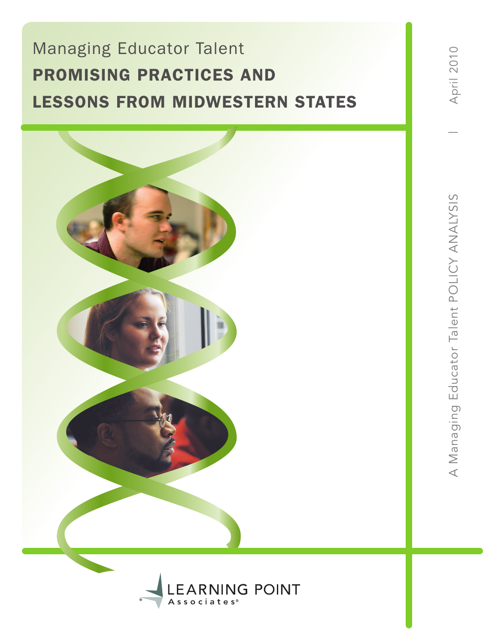# Managing Educator Talent promising Practices and LESSONS FROM MIDWESTERN STATES

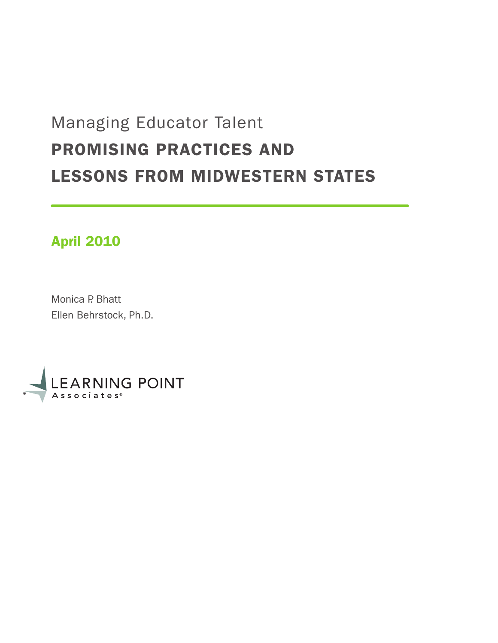# Managing Educator Talent promising Practices and Lessons from midwestern States

# April 2010

Monica P. Bhatt Ellen Behrstock, Ph.D.

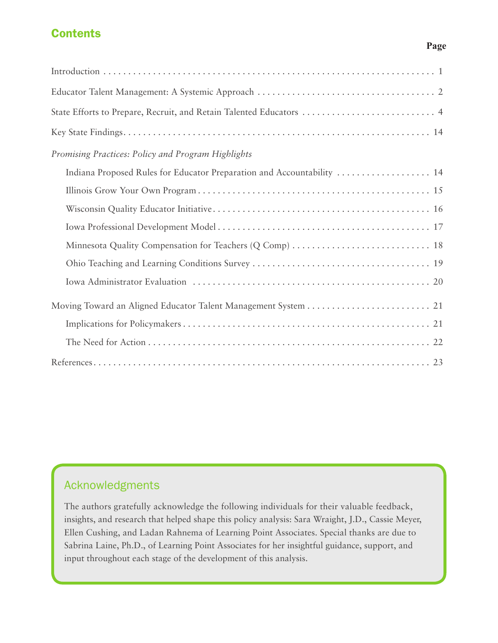# **Contents**

# Introduction . . . . . . . . . . . . . . . . . . . . . . . . . . . . . . . . . . . . . . . . . . . . . . . . . . . . . . . . . . . . . . . . . . . 1 Educator Talent Management: A Systemic Approach . . . . . . . . . . . . . . . . . . . . . . . . . . . . . . . . . . . . 2 State Efforts to Prepare, Recruit, and Retain Talented Educators . . . . . . . . . . . . . . . . . . . . . . . . . . . 4 Key State Findings . . . . . . . . . . . . . . . . . . . . . . . . . . . . . . . . . . . . . . . . . . . . . . . . . . . . . . . . . . . . . . 14 *Promising Practices: Policy and Program Highlights* Indiana Proposed Rules for Educator Preparation and Accountability . . . . . . . . . . . . . . . . . . . 14 Illinois Grow Your Own Program . . . . . . . . . . . . . . . . . . . . . . . . . . . . . . . . . . . . . . . . . . . . . . . 15 Wisconsin Quality Educator Initiative . . . . . . . . . . . . . . . . . . . . . . . . . . . . . . . . . . . . . . . . . . . . 16 Iowa Professional Development Model . . . . . . . . . . . . . . . . . . . . . . . . . . . . . . . . . . . . . . . . . . . 17 Minnesota Quality Compensation for Teachers (Q Comp) . . . . . . . . . . . . . . . . . . . . . . . . . . . . 18 Ohio Teaching and Learning Conditions Survey . . . . . . . . . . . . . . . . . . . . . . . . . . . . . . . . . . . . 19 Iowa Administrator Evaluation . . . . . . . . . . . . . . . . . . . . . . . . . . . . . . . . . . . . . . . . . . . . . . . . 20 Moving Toward an Aligned Educator Talent Management System . . . . . . . . . . . . . . . . . . . . . . . . . 21 Implications for Policymakers . . . . . . . . . . . . . . . . . . . . . . . . . . . . . . . . . . . . . . . . . . . . . . . . . . 21 The Need for Action . . . . . . . . . . . . . . . . . . . . . . . . . . . . . . . . . . . . . . . . . . . . . . . . . . . . . . . . . 22 References . . . . . . . . . . . . . . . . . . . . . . . . . . . . . . . . . . . . . . . . . . . . . . . . . . . . . . . . . . . . . . . . . . . . 23

# Acknowledgments

The authors gratefully acknowledge the following individuals for their valuable feedback, insights, and research that helped shape this policy analysis: Sara Wraight, J.D., Cassie Meyer, Ellen Cushing, and Ladan Rahnema of Learning Point Associates. Special thanks are due to Sabrina Laine, Ph.D., of Learning Point Associates for her insightful guidance, support, and input throughout each stage of the development of this analysis.

### **Page**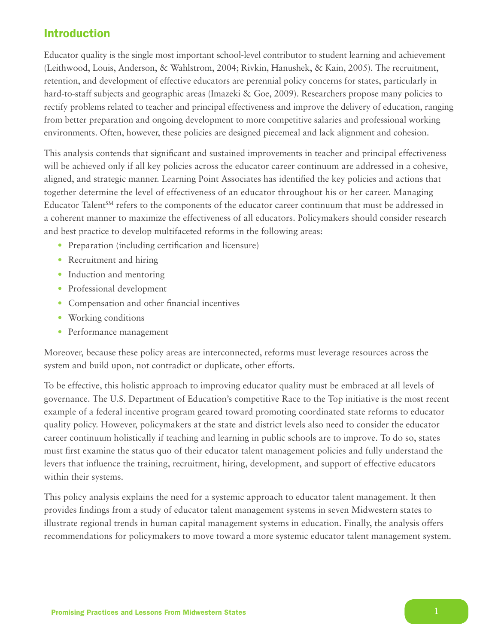# Introduction

Educator quality is the single most important school-level contributor to student learning and achievement (Leithwood, Louis, Anderson, & Wahlstrom, 2004; Rivkin, Hanushek, & Kain, 2005). The recruitment, retention, and development of effective educators are perennial policy concerns for states, particularly in hard-to-staff subjects and geographic areas (Imazeki & Goe, 2009). Researchers propose many policies to rectify problems related to teacher and principal effectiveness and improve the delivery of education, ranging from better preparation and ongoing development to more competitive salaries and professional working environments. Often, however, these policies are designed piecemeal and lack alignment and cohesion.

This analysis contends that significant and sustained improvements in teacher and principal effectiveness will be achieved only if all key policies across the educator career continuum are addressed in a cohesive, aligned, and strategic manner. Learning Point Associates has identified the key policies and actions that together determine the level of effectiveness of an educator throughout his or her career. Managing Educator Talent<sup>SM</sup> refers to the components of the educator career continuum that must be addressed in a coherent manner to maximize the effectiveness of all educators. Policymakers should consider research and best practice to develop multifaceted reforms in the following areas:

- Preparation (including certification and licensure)
- Recruitment and hiring
- Induction and mentoring
- Professional development
- • Compensation and other financial incentives
- Working conditions
- Performance management

Moreover, because these policy areas are interconnected, reforms must leverage resources across the system and build upon, not contradict or duplicate, other efforts.

To be effective, this holistic approach to improving educator quality must be embraced at all levels of governance. The U.S. Department of Education's competitive Race to the Top initiative is the most recent example of a federal incentive program geared toward promoting coordinated state reforms to educator quality policy. However, policymakers at the state and district levels also need to consider the educator career continuum holistically if teaching and learning in public schools are to improve. To do so, states must first examine the status quo of their educator talent management policies and fully understand the levers that influence the training, recruitment, hiring, development, and support of effective educators within their systems.

This policy analysis explains the need for a systemic approach to educator talent management. It then provides findings from a study of educator talent management systems in seven Midwestern states to illustrate regional trends in human capital management systems in education. Finally, the analysis offers recommendations for policymakers to move toward a more systemic educator talent management system.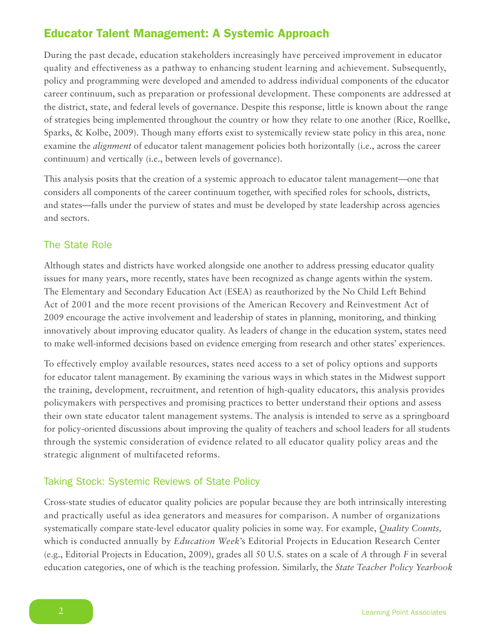# Educator Talent Management: A Systemic Approach

During the past decade, education stakeholders increasingly have perceived improvement in educator quality and effectiveness as a pathway to enhancing student learning and achievement. Subsequently, policy and programming were developed and amended to address individual components of the educator career continuum, such as preparation or professional development. These components are addressed at the district, state, and federal levels of governance. Despite this response, little is known about the range of strategies being implemented throughout the country or how they relate to one another (Rice, Roellke, Sparks, & Kolbe, 2009). Though many efforts exist to systemically review state policy in this area, none examine the *alignment* of educator talent management policies both horizontally (i.e., across the career continuum) and vertically (i.e., between levels of governance).

This analysis posits that the creation of a systemic approach to educator talent management—one that considers all components of the career continuum together, with specified roles for schools, districts, and states—falls under the purview of states and must be developed by state leadership across agencies and sectors.

## The State Role

Although states and districts have worked alongside one another to address pressing educator quality issues for many years, more recently, states have been recognized as change agents within the system. The Elementary and Secondary Education Act (ESEA) as reauthorized by the No Child Left Behind Act of 2001 and the more recent provisions of the American Recovery and Reinvestment Act of 2009 encourage the active involvement and leadership of states in planning, monitoring, and thinking innovatively about improving educator quality. As leaders of change in the education system, states need to make well-informed decisions based on evidence emerging from research and other states' experiences.

To effectively employ available resources, states need access to a set of policy options and supports for educator talent management. By examining the various ways in which states in the Midwest support the training, development, recruitment, and retention of high-quality educators, this analysis provides policymakers with perspectives and promising practices to better understand their options and assess their own state educator talent management systems. The analysis is intended to serve as a springboard for policy-oriented discussions about improving the quality of teachers and school leaders for all students through the systemic consideration of evidence related to all educator quality policy areas and the strategic alignment of multifaceted reforms.

### Taking Stock: Systemic Reviews of State Policy

Cross-state studies of educator quality policies are popular because they are both intrinsically interesting and practically useful as idea generators and measures for comparison. A number of organizations systematically compare state-level educator quality policies in some way. For example, *Quality Counts,*  which is conducted annually by *Education Week*'s Editorial Projects in Education Research Center (e.g., Editorial Projects in Education, 2009), grades all 50 U.S. states on a scale of *A* through *F* in several education categories, one of which is the teaching profession. Similarly, the *State Teacher Policy Yearbook*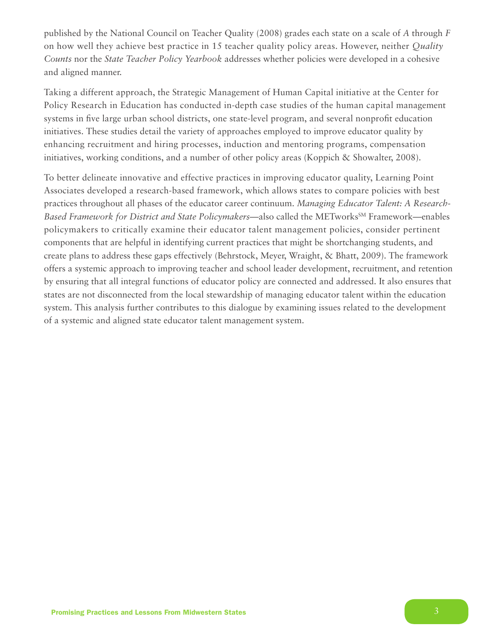published by the National Council on Teacher Quality (2008) grades each state on a scale of *A* through *F* on how well they achieve best practice in 15 teacher quality policy areas. However, neither *Quality Counts* nor the *State Teacher Policy Yearbook* addresses whether policies were developed in a cohesive and aligned manner.

Taking a different approach, the Strategic Management of Human Capital initiative at the Center for Policy Research in Education has conducted in-depth case studies of the human capital management systems in five large urban school districts, one state-level program, and several nonprofit education initiatives. These studies detail the variety of approaches employed to improve educator quality by enhancing recruitment and hiring processes, induction and mentoring programs, compensation initiatives, working conditions, and a number of other policy areas (Koppich & Showalter, 2008).

To better delineate innovative and effective practices in improving educator quality, Learning Point Associates developed a research-based framework, which allows states to compare policies with best practices throughout all phases of the educator career continuum. *Managing Educator Talent: A Research-*Based Framework for District and State Policymakers—also called the METworks<sup>SM</sup> Framework—enables policymakers to critically examine their educator talent management policies, consider pertinent components that are helpful in identifying current practices that might be shortchanging students, and create plans to address these gaps effectively (Behrstock, Meyer, Wraight, & Bhatt, 2009). The framework offers a systemic approach to improving teacher and school leader development, recruitment, and retention by ensuring that all integral functions of educator policy are connected and addressed. It also ensures that states are not disconnected from the local stewardship of managing educator talent within the education system. This analysis further contributes to this dialogue by examining issues related to the development of a systemic and aligned state educator talent management system.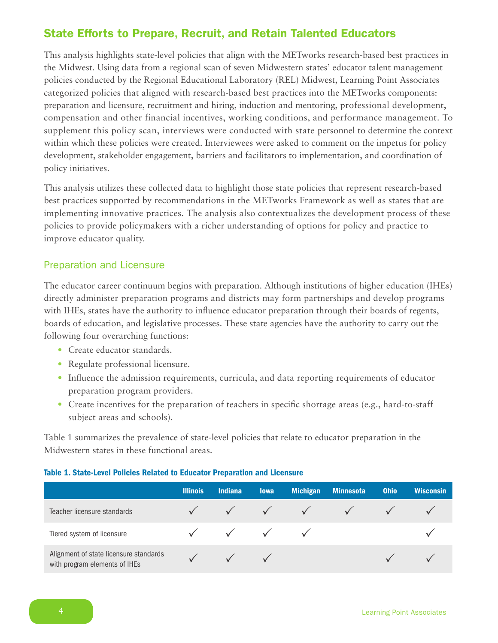# State Efforts to Prepare, Recruit, and Retain Talented Educators

This analysis highlights state-level policies that align with the METworks research-based best practices in the Midwest. Using data from a regional scan of seven Midwestern states' educator talent management policies conducted by the Regional Educational Laboratory (REL) Midwest, Learning Point Associates categorized policies that aligned with research-based best practices into the METworks components: preparation and licensure, recruitment and hiring, induction and mentoring, professional development, compensation and other financial incentives, working conditions, and performance management. To supplement this policy scan, interviews were conducted with state personnel to determine the context within which these policies were created. Interviewees were asked to comment on the impetus for policy development, stakeholder engagement, barriers and facilitators to implementation, and coordination of policy initiatives.

This analysis utilizes these collected data to highlight those state policies that represent research-based best practices supported by recommendations in the METworks Framework as well as states that are implementing innovative practices. The analysis also contextualizes the development process of these policies to provide policymakers with a richer understanding of options for policy and practice to improve educator quality.

## Preparation and Licensure

The educator career continuum begins with preparation. Although institutions of higher education (IHEs) directly administer preparation programs and districts may form partnerships and develop programs with IHEs, states have the authority to influence educator preparation through their boards of regents, boards of education, and legislative processes. These state agencies have the authority to carry out the following four overarching functions:

- Create educator standards.
- Regulate professional licensure.
- Influence the admission requirements, curricula, and data reporting requirements of educator preparation program providers.
- Create incentives for the preparation of teachers in specific shortage areas (e.g., hard-to-staff subject areas and schools).

Table 1 summarizes the prevalence of state-level policies that relate to educator preparation in the Midwestern states in these functional areas.

### Table 1. State-Level Policies Related to Educator Preparation and Licensure

|                                                                         | <b>Illinois</b> | <b>Indiana</b> | <b>lowa</b> | <b>Michigan</b> | <b>Minnesota</b> | <b>Ohio</b> | <b>Wisconsin</b> |
|-------------------------------------------------------------------------|-----------------|----------------|-------------|-----------------|------------------|-------------|------------------|
| Teacher licensure standards                                             |                 |                |             | $\sqrt{ }$      |                  |             |                  |
| Tiered system of licensure                                              |                 |                |             |                 |                  |             |                  |
| Alignment of state licensure standards<br>with program elements of IHEs |                 |                |             |                 |                  |             |                  |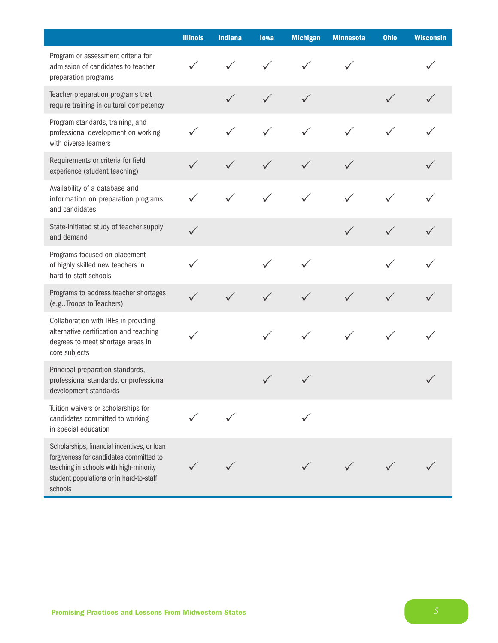|                                                                                                                                                                                        | <b>Illinois</b> | <b>Indiana</b> | <b>lowa</b>  | <b>Michigan</b> | <b>Minnesota</b> | <b>Ohio</b> | <b>Wisconsin</b> |
|----------------------------------------------------------------------------------------------------------------------------------------------------------------------------------------|-----------------|----------------|--------------|-----------------|------------------|-------------|------------------|
| Program or assessment criteria for<br>admission of candidates to teacher<br>preparation programs                                                                                       | $\checkmark$    |                |              |                 |                  |             |                  |
| Teacher preparation programs that<br>require training in cultural competency                                                                                                           |                 |                | $\checkmark$ | $\checkmark$    |                  |             | $\checkmark$     |
| Program standards, training, and<br>professional development on working<br>with diverse learners                                                                                       |                 |                |              | $\checkmark$    |                  |             |                  |
| Requirements or criteria for field<br>experience (student teaching)                                                                                                                    |                 |                | $\checkmark$ | $\checkmark$    | $\checkmark$     |             |                  |
| Availability of a database and<br>information on preparation programs<br>and candidates                                                                                                |                 | $\checkmark$   | $\checkmark$ | $\checkmark$    | $\checkmark$     |             |                  |
| State-initiated study of teacher supply<br>and demand                                                                                                                                  |                 |                |              |                 | $\checkmark$     |             |                  |
| Programs focused on placement<br>of highly skilled new teachers in<br>hard-to-staff schools                                                                                            |                 |                |              |                 |                  |             |                  |
| Programs to address teacher shortages<br>(e.g., Troops to Teachers)                                                                                                                    |                 | $\checkmark$   | $\checkmark$ | $\checkmark$    | $\checkmark$     |             |                  |
| Collaboration with IHEs in providing<br>alternative certification and teaching<br>degrees to meet shortage areas in<br>core subjects                                                   |                 |                |              | ✓               |                  |             |                  |
| Principal preparation standards,<br>professional standards, or professional<br>development standards                                                                                   |                 |                |              |                 |                  |             |                  |
| Tuition waivers or scholarships for<br>candidates committed to working<br>in special education                                                                                         |                 |                |              |                 |                  |             |                  |
| Scholarships, financial incentives, or loan<br>forgiveness for candidates committed to<br>teaching in schools with high-minority<br>student populations or in hard-to-staff<br>schools |                 |                |              |                 |                  |             |                  |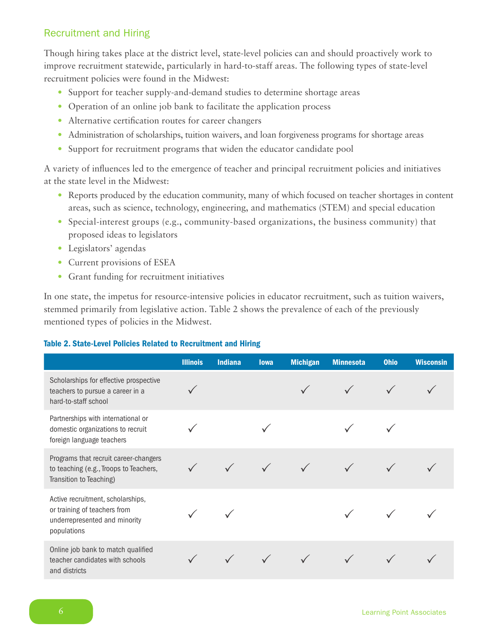# Recruitment and Hiring

Though hiring takes place at the district level, state-level policies can and should proactively work to improve recruitment statewide, particularly in hard-to-staff areas. The following types of state-level recruitment policies were found in the Midwest:

- Support for teacher supply-and-demand studies to determine shortage areas
- Operation of an online job bank to facilitate the application process
- Alternative certification routes for career changers
- Administration of scholarships, tuition waivers, and loan forgiveness programs for shortage areas
- Support for recruitment programs that widen the educator candidate pool

A variety of influences led to the emergence of teacher and principal recruitment policies and initiatives at the state level in the Midwest:

- Reports produced by the education community, many of which focused on teacher shortages in content areas, such as science, technology, engineering, and mathematics (STEM) and special education
- Special-interest groups (e.g., community-based organizations, the business community) that proposed ideas to legislators
- • Legislators' agendas
- Current provisions of ESEA
- • Grant funding for recruitment initiatives

In one state, the impetus for resource-intensive policies in educator recruitment, such as tuition waivers, stemmed primarily from legislative action. Table 2 shows the prevalence of each of the previously mentioned types of policies in the Midwest.

### Table 2. State-Level Policies Related to Recruitment and Hiring

|                                                                                                                   | <b>Illinois</b> | <b>Indiana</b> | <b>lowa</b> | <b>Michigan</b> | <b>Minnesota</b> | <b>Ohio</b> | <b>Wisconsin</b> |
|-------------------------------------------------------------------------------------------------------------------|-----------------|----------------|-------------|-----------------|------------------|-------------|------------------|
| Scholarships for effective prospective<br>teachers to pursue a career in a<br>hard-to-staff school                |                 |                |             |                 |                  |             |                  |
| Partnerships with international or<br>domestic organizations to recruit<br>foreign language teachers              |                 |                |             |                 |                  |             |                  |
| Programs that recruit career-changers<br>to teaching (e.g., Troops to Teachers,<br>Transition to Teaching)        |                 |                |             |                 |                  |             |                  |
| Active recruitment, scholarships,<br>or training of teachers from<br>underrepresented and minority<br>populations |                 |                |             |                 |                  |             |                  |
| Online job bank to match qualified<br>teacher candidates with schools<br>and districts                            |                 |                |             |                 |                  |             |                  |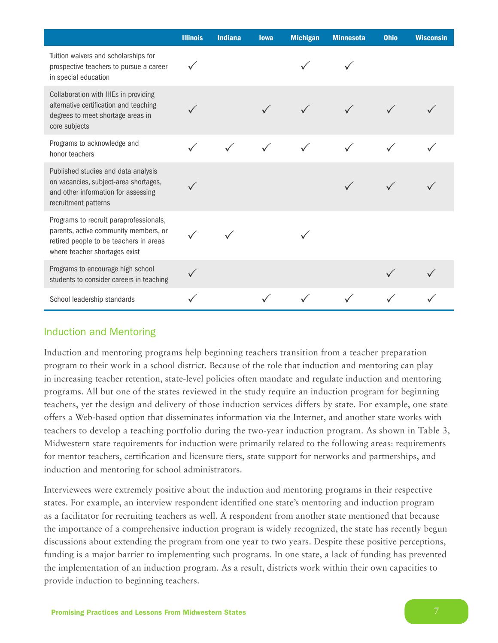|                                                                                                                                                            | <b>Illinois</b> | <b>Indiana</b> | <b>lowa</b> | <b>Michigan</b> | <b>Minnesota</b> | <b>Ohio</b> | <b>Wisconsin</b> |
|------------------------------------------------------------------------------------------------------------------------------------------------------------|-----------------|----------------|-------------|-----------------|------------------|-------------|------------------|
| Tuition waivers and scholarships for<br>prospective teachers to pursue a career<br>in special education                                                    |                 |                |             |                 |                  |             |                  |
| Collaboration with IHEs in providing<br>alternative certification and teaching<br>degrees to meet shortage areas in<br>core subjects                       |                 |                |             |                 |                  |             |                  |
| Programs to acknowledge and<br>honor teachers                                                                                                              |                 |                |             |                 |                  |             |                  |
| Published studies and data analysis<br>on vacancies, subject-area shortages,<br>and other information for assessing<br>recruitment patterns                |                 |                |             |                 |                  |             |                  |
| Programs to recruit paraprofessionals,<br>parents, active community members, or<br>retired people to be teachers in areas<br>where teacher shortages exist |                 |                |             |                 |                  |             |                  |
| Programs to encourage high school<br>students to consider careers in teaching                                                                              |                 |                |             |                 |                  |             |                  |
| School leadership standards                                                                                                                                |                 |                |             |                 |                  |             |                  |

### Induction and Mentoring

Induction and mentoring programs help beginning teachers transition from a teacher preparation program to their work in a school district. Because of the role that induction and mentoring can play in increasing teacher retention, state-level policies often mandate and regulate induction and mentoring programs. All but one of the states reviewed in the study require an induction program for beginning teachers, yet the design and delivery of those induction services differs by state. For example, one state offers a Web-based option that disseminates information via the Internet, and another state works with teachers to develop a teaching portfolio during the two-year induction program. As shown in Table 3, Midwestern state requirements for induction were primarily related to the following areas: requirements for mentor teachers, certification and licensure tiers, state support for networks and partnerships, and induction and mentoring for school administrators.

Interviewees were extremely positive about the induction and mentoring programs in their respective states. For example, an interview respondent identified one state's mentoring and induction program as a facilitator for recruiting teachers as well. A respondent from another state mentioned that because the importance of a comprehensive induction program is widely recognized, the state has recently begun discussions about extending the program from one year to two years. Despite these positive perceptions, funding is a major barrier to implementing such programs. In one state, a lack of funding has prevented the implementation of an induction program. As a result, districts work within their own capacities to provide induction to beginning teachers.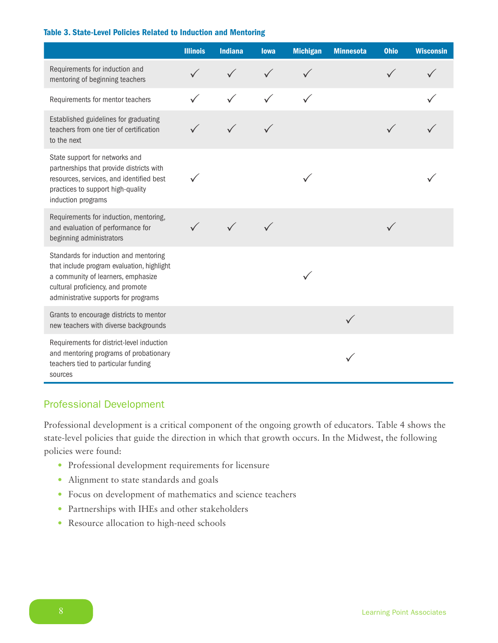#### Table 3. State-Level Policies Related to Induction and Mentoring

|                                                                                                                                                                                                        | <b>Illinois</b> | <b>Indiana</b> | <b>lowa</b> | <b>Michigan</b> | <b>Minnesota</b> | <b>Ohio</b> | <b>Wisconsin</b> |
|--------------------------------------------------------------------------------------------------------------------------------------------------------------------------------------------------------|-----------------|----------------|-------------|-----------------|------------------|-------------|------------------|
| Requirements for induction and<br>mentoring of beginning teachers                                                                                                                                      |                 |                |             |                 |                  |             |                  |
| Requirements for mentor teachers                                                                                                                                                                       |                 |                |             |                 |                  |             |                  |
| Established guidelines for graduating<br>teachers from one tier of certification<br>to the next                                                                                                        |                 |                |             |                 |                  |             |                  |
| State support for networks and<br>partnerships that provide districts with<br>resources, services, and identified best<br>practices to support high-quality<br>induction programs                      |                 |                |             |                 |                  |             |                  |
| Requirements for induction, mentoring,<br>and evaluation of performance for<br>beginning administrators                                                                                                |                 |                |             |                 |                  |             |                  |
| Standards for induction and mentoring<br>that include program evaluation, highlight<br>a community of learners, emphasize<br>cultural proficiency, and promote<br>administrative supports for programs |                 |                |             |                 |                  |             |                  |
| Grants to encourage districts to mentor<br>new teachers with diverse backgrounds                                                                                                                       |                 |                |             |                 |                  |             |                  |
| Requirements for district-level induction<br>and mentoring programs of probationary<br>teachers tied to particular funding<br>sources                                                                  |                 |                |             |                 |                  |             |                  |

## Professional Development

Professional development is a critical component of the ongoing growth of educators. Table 4 shows the state-level policies that guide the direction in which that growth occurs. In the Midwest, the following policies were found:

- Professional development requirements for licensure
- Alignment to state standards and goals
- • Focus on development of mathematics and science teachers
- • Partnerships with IHEs and other stakeholders
- Resource allocation to high-need schools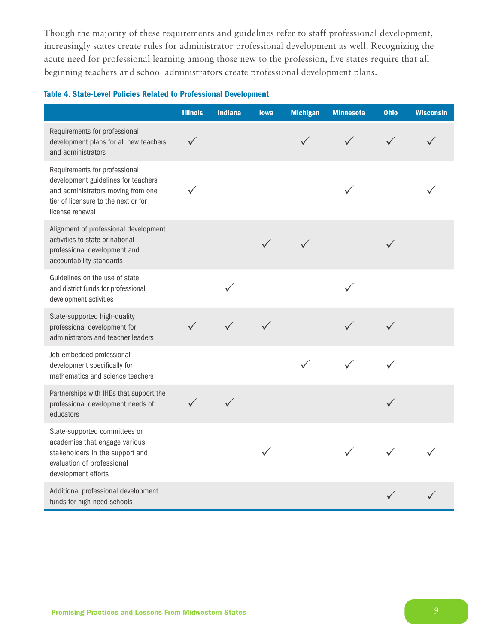Though the majority of these requirements and guidelines refer to staff professional development, increasingly states create rules for administrator professional development as well. Recognizing the acute need for professional learning among those new to the profession, five states require that all beginning teachers and school administrators create professional development plans.

### Table 4. State-Level Policies Related to Professional Development

|                                                                                                                                                                       | <b>Illinois</b> | Indiana | <b>lowa</b> | <b>Michigan</b> | <b>Minnesota</b> | <b>Ohio</b> | <b>Wisconsin</b> |
|-----------------------------------------------------------------------------------------------------------------------------------------------------------------------|-----------------|---------|-------------|-----------------|------------------|-------------|------------------|
| Requirements for professional<br>development plans for all new teachers<br>and administrators                                                                         |                 |         |             |                 |                  |             |                  |
| Requirements for professional<br>development guidelines for teachers<br>and administrators moving from one<br>tier of licensure to the next or for<br>license renewal |                 |         |             |                 |                  |             |                  |
| Alignment of professional development<br>activities to state or national<br>professional development and<br>accountability standards                                  |                 |         |             |                 |                  |             |                  |
| Guidelines on the use of state<br>and district funds for professional<br>development activities                                                                       |                 |         |             |                 |                  |             |                  |
| State-supported high-quality<br>professional development for<br>administrators and teacher leaders                                                                    |                 |         |             |                 |                  |             |                  |
| Job-embedded professional<br>development specifically for<br>mathematics and science teachers                                                                         |                 |         |             |                 |                  |             |                  |
| Partnerships with IHEs that support the<br>professional development needs of<br>educators                                                                             |                 |         |             |                 |                  |             |                  |
| State-supported committees or<br>academies that engage various<br>stakeholders in the support and<br>evaluation of professional<br>development efforts                |                 |         |             |                 |                  |             |                  |
| Additional professional development<br>funds for high-need schools                                                                                                    |                 |         |             |                 |                  |             |                  |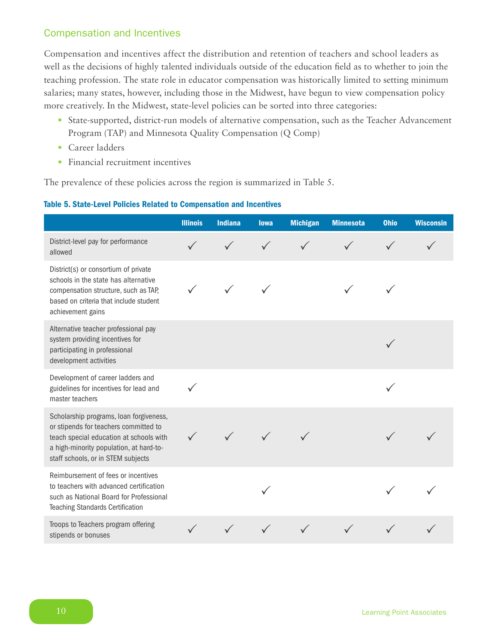## Compensation and Incentives

Compensation and incentives affect the distribution and retention of teachers and school leaders as well as the decisions of highly talented individuals outside of the education field as to whether to join the teaching profession. The state role in educator compensation was historically limited to setting minimum salaries; many states, however, including those in the Midwest, have begun to view compensation policy more creatively. In the Midwest, state-level policies can be sorted into three categories:

- State-supported, district-run models of alternative compensation, such as the Teacher Advancement Program (TAP) and Minnesota Quality Compensation (Q Comp)
- Career ladders
- Financial recruitment incentives

The prevalence of these policies across the region is summarized in Table 5.

#### Table 5. State-Level Policies Related to Compensation and Incentives

|                                                                                                                                                                                                              | <b>Illinois</b> | <b>Indiana</b> | <b>lowa</b>  | <b>Michigan</b> | <b>Minnesota</b> | <b>Ohio</b> | <b>Wisconsin</b> |
|--------------------------------------------------------------------------------------------------------------------------------------------------------------------------------------------------------------|-----------------|----------------|--------------|-----------------|------------------|-------------|------------------|
| District-level pay for performance<br>allowed                                                                                                                                                                | $\checkmark$    |                | $\checkmark$ |                 |                  |             |                  |
| District(s) or consortium of private<br>schools in the state has alternative<br>compensation structure, such as TAP,<br>based on criteria that include student<br>achievement gains                          |                 |                |              |                 |                  |             |                  |
| Alternative teacher professional pay<br>system providing incentives for<br>participating in professional<br>development activities                                                                           |                 |                |              |                 |                  |             |                  |
| Development of career ladders and<br>guidelines for incentives for lead and<br>master teachers                                                                                                               |                 |                |              |                 |                  |             |                  |
| Scholarship programs, loan forgiveness,<br>or stipends for teachers committed to<br>teach special education at schools with<br>a high-minority population, at hard-to-<br>staff schools, or in STEM subjects |                 |                |              |                 |                  |             |                  |
| Reimbursement of fees or incentives<br>to teachers with advanced certification<br>such as National Board for Professional<br><b>Teaching Standards Certification</b>                                         |                 |                |              |                 |                  |             |                  |
| Troops to Teachers program offering<br>stipends or bonuses                                                                                                                                                   |                 |                |              |                 |                  |             |                  |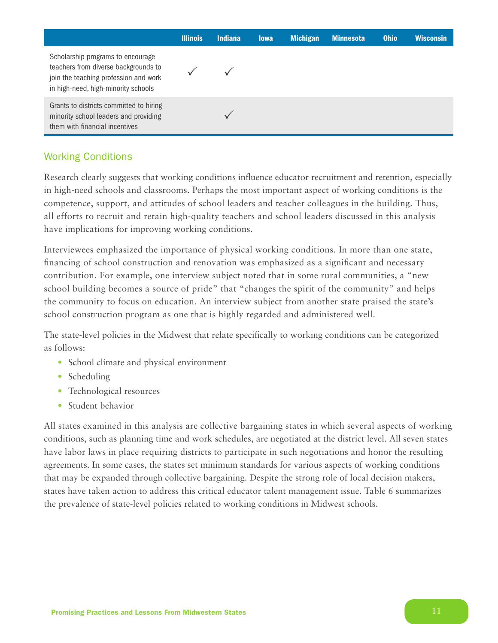|                                                                                                                                                           | <b>Illinois</b> | <b>Indiana</b> | <b>lowa</b> | <b>Michigan</b> | <b>Minnesota</b> | <b>Ohio</b> | <b>Wisconsin</b> |
|-----------------------------------------------------------------------------------------------------------------------------------------------------------|-----------------|----------------|-------------|-----------------|------------------|-------------|------------------|
| Scholarship programs to encourage<br>teachers from diverse backgrounds to<br>join the teaching profession and work<br>in high-need, high-minority schools |                 |                |             |                 |                  |             |                  |
| Grants to districts committed to hiring<br>minority school leaders and providing<br>them with financial incentives                                        |                 |                |             |                 |                  |             |                  |

# Working Conditions

Research clearly suggests that working conditions influence educator recruitment and retention, especially in high-need schools and classrooms. Perhaps the most important aspect of working conditions is the competence, support, and attitudes of school leaders and teacher colleagues in the building. Thus, all efforts to recruit and retain high-quality teachers and school leaders discussed in this analysis have implications for improving working conditions.

Interviewees emphasized the importance of physical working conditions. In more than one state, financing of school construction and renovation was emphasized as a significant and necessary contribution. For example, one interview subject noted that in some rural communities, a "new school building becomes a source of pride" that "changes the spirit of the community" and helps the community to focus on education. An interview subject from another state praised the state's school construction program as one that is highly regarded and administered well.

The state-level policies in the Midwest that relate specifically to working conditions can be categorized as follows:

- School climate and physical environment
- Scheduling
- Technological resources
- Student behavior

All states examined in this analysis are collective bargaining states in which several aspects of working conditions, such as planning time and work schedules, are negotiated at the district level. All seven states have labor laws in place requiring districts to participate in such negotiations and honor the resulting agreements. In some cases, the states set minimum standards for various aspects of working conditions that may be expanded through collective bargaining. Despite the strong role of local decision makers, states have taken action to address this critical educator talent management issue. Table 6 summarizes the prevalence of state-level policies related to working conditions in Midwest schools.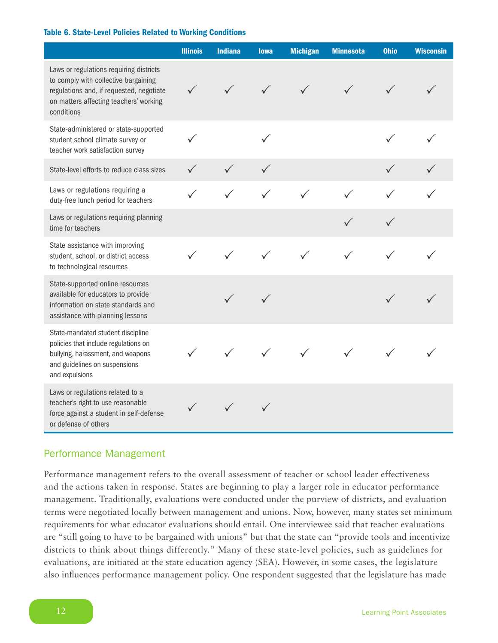#### Table 6. State-Level Policies Related to Working Conditions

|                                                                                                                                                                                     | <b>Illinois</b> | <b>Indiana</b> | <b>lowa</b>  | <b>Michigan</b> | <b>Minnesota</b> | <b>Ohio</b> | <b>Wisconsin</b> |
|-------------------------------------------------------------------------------------------------------------------------------------------------------------------------------------|-----------------|----------------|--------------|-----------------|------------------|-------------|------------------|
| Laws or regulations requiring districts<br>to comply with collective bargaining<br>regulations and, if requested, negotiate<br>on matters affecting teachers' working<br>conditions | $\checkmark$    | $\checkmark$   | $\checkmark$ |                 |                  |             |                  |
| State-administered or state-supported<br>student school climate survey or<br>teacher work satisfaction survey                                                                       | ✓               |                |              |                 |                  |             |                  |
| State-level efforts to reduce class sizes                                                                                                                                           |                 |                |              |                 |                  |             |                  |
| Laws or regulations requiring a<br>duty-free lunch period for teachers                                                                                                              |                 | $\checkmark$   | $\checkmark$ |                 |                  |             |                  |
| Laws or regulations requiring planning<br>time for teachers                                                                                                                         |                 |                |              |                 |                  |             |                  |
| State assistance with improving<br>student, school, or district access<br>to technological resources                                                                                |                 |                |              |                 |                  |             |                  |
| State-supported online resources<br>available for educators to provide<br>information on state standards and<br>assistance with planning lessons                                    |                 |                |              |                 |                  |             |                  |
| State-mandated student discipline<br>policies that include regulations on<br>bullying, harassment, and weapons<br>and guidelines on suspensions<br>and expulsions                   |                 |                |              |                 |                  |             |                  |
| Laws or regulations related to a<br>teacher's right to use reasonable<br>force against a student in self-defense<br>or defense of others                                            |                 |                |              |                 |                  |             |                  |

### Performance Management

Performance management refers to the overall assessment of teacher or school leader effectiveness and the actions taken in response. States are beginning to play a larger role in educator performance management. Traditionally, evaluations were conducted under the purview of districts, and evaluation terms were negotiated locally between management and unions. Now, however, many states set minimum requirements for what educator evaluations should entail. One interviewee said that teacher evaluations are "still going to have to be bargained with unions" but that the state can "provide tools and incentivize districts to think about things differently." Many of these state-level policies, such as guidelines for evaluations, are initiated at the state education agency (SEA). However, in some cases, the legislature also influences performance management policy. One respondent suggested that the legislature has made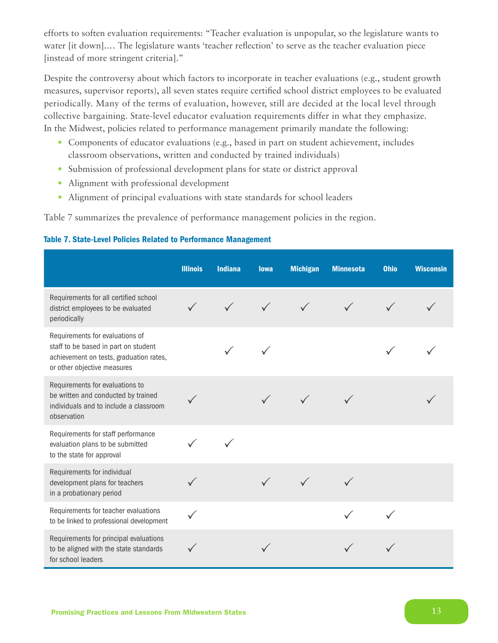efforts to soften evaluation requirements: "Teacher evaluation is unpopular, so the legislature wants to water [it down].… The legislature wants 'teacher reflection' to serve as the teacher evaluation piece [instead of more stringent criteria]."

Despite the controversy about which factors to incorporate in teacher evaluations (e.g., student growth measures, supervisor reports), all seven states require certified school district employees to be evaluated periodically. Many of the terms of evaluation, however, still are decided at the local level through collective bargaining. State-level educator evaluation requirements differ in what they emphasize. In the Midwest, policies related to performance management primarily mandate the following:

- Components of educator evaluations (e.g., based in part on student achievement, includes classroom observations, written and conducted by trained individuals)
- Submission of professional development plans for state or district approval
- Alignment with professional development
- Alignment of principal evaluations with state standards for school leaders

Table 7 summarizes the prevalence of performance management policies in the region.

|                                                                                                                                                   | <b>Illinois</b> | <b>Indiana</b> | <b>lowa</b> | <b>Michigan</b> | <b>Minnesota</b> | <b>Ohio</b> | <b>Wisconsin</b> |
|---------------------------------------------------------------------------------------------------------------------------------------------------|-----------------|----------------|-------------|-----------------|------------------|-------------|------------------|
| Requirements for all certified school<br>district employees to be evaluated<br>periodically                                                       | $\checkmark$    |                |             |                 |                  |             |                  |
| Requirements for evaluations of<br>staff to be based in part on student<br>achievement on tests, graduation rates,<br>or other objective measures |                 |                |             |                 |                  |             |                  |
| Requirements for evaluations to<br>be written and conducted by trained<br>individuals and to include a classroom<br>observation                   |                 |                |             |                 |                  |             |                  |
| Requirements for staff performance<br>evaluation plans to be submitted<br>to the state for approval                                               |                 |                |             |                 |                  |             |                  |
| Requirements for individual<br>development plans for teachers<br>in a probationary period                                                         |                 |                |             |                 |                  |             |                  |
| Requirements for teacher evaluations<br>to be linked to professional development                                                                  |                 |                |             |                 |                  |             |                  |
| Requirements for principal evaluations<br>to be aligned with the state standards<br>for school leaders                                            |                 |                |             |                 |                  |             |                  |

#### Table 7. State-Level Policies Related to Performance Management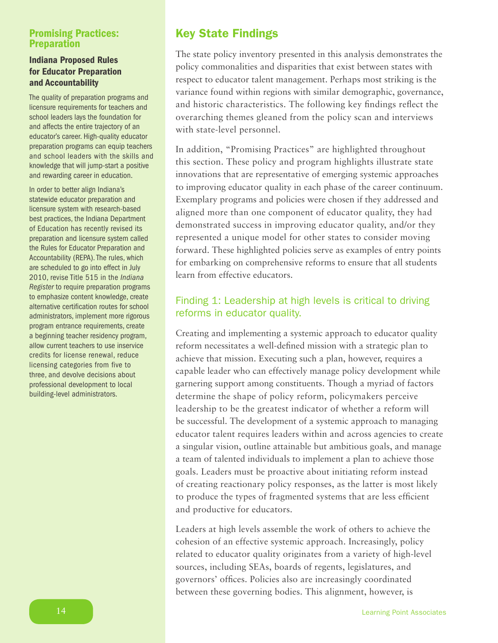## Promising Practices: **Preparation**

### Indiana Proposed Rules for Educator Preparation and Accountability

The quality of preparation programs and licensure requirements for teachers and school leaders lays the foundation for and affects the entire trajectory of an educator's career. High-quality educator preparation programs can equip teachers and school leaders with the skills and knowledge that will jump-start a positive and rewarding career in education.

In order to better align Indiana's statewide educator preparation and licensure system with research-based best practices, the Indiana Department of Education has recently revised its preparation and licensure system called the Rules for Educator Preparation and Accountability (REPA). The rules, which are scheduled to go into effect in July 2010, revise Title 515 in the *Indiana Register* to require preparation programs to emphasize content knowledge, create alternative certification routes for school administrators, implement more rigorous program entrance requirements, create a beginning teacher residency program, allow current teachers to use inservice credits for license renewal, reduce licensing categories from five to three, and devolve decisions about professional development to local building-level administrators.

# Key State Findings

The state policy inventory presented in this analysis demonstrates the policy commonalities and disparities that exist between states with respect to educator talent management. Perhaps most striking is the variance found within regions with similar demographic, governance, and historic characteristics. The following key findings reflect the overarching themes gleaned from the policy scan and interviews with state-level personnel.

In addition, "Promising Practices" are highlighted throughout this section. These policy and program highlights illustrate state innovations that are representative of emerging systemic approaches to improving educator quality in each phase of the career continuum. Exemplary programs and policies were chosen if they addressed and aligned more than one component of educator quality, they had demonstrated success in improving educator quality, and/or they represented a unique model for other states to consider moving forward. These highlighted policies serve as examples of entry points for embarking on comprehensive reforms to ensure that all students learn from effective educators.

# Finding 1: Leadership at high levels is critical to driving reforms in educator quality.

Creating and implementing a systemic approach to educator quality reform necessitates a well-defined mission with a strategic plan to achieve that mission. Executing such a plan, however, requires a capable leader who can effectively manage policy development while garnering support among constituents. Though a myriad of factors determine the shape of policy reform, policymakers perceive leadership to be the greatest indicator of whether a reform will be successful. The development of a systemic approach to managing educator talent requires leaders within and across agencies to create a singular vision, outline attainable but ambitious goals, and manage a team of talented individuals to implement a plan to achieve those goals. Leaders must be proactive about initiating reform instead of creating reactionary policy responses, as the latter is most likely to produce the types of fragmented systems that are less efficient and productive for educators.

Leaders at high levels assemble the work of others to achieve the cohesion of an effective systemic approach. Increasingly, policy related to educator quality originates from a variety of high-level sources, including SEAs, boards of regents, legislatures, and governors' offices. Policies also are increasingly coordinated between these governing bodies. This alignment, however, is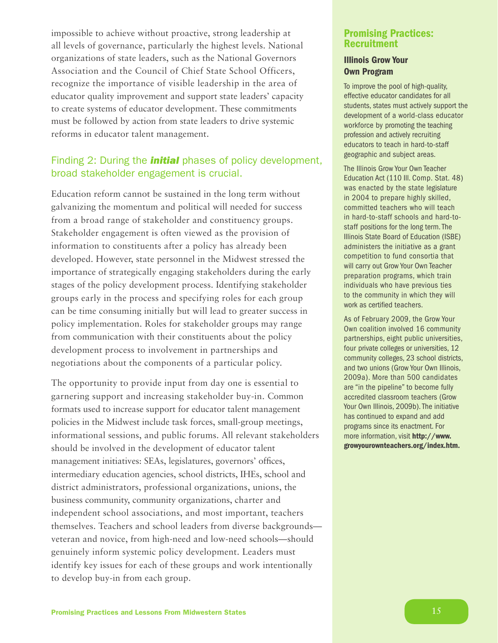impossible to achieve without proactive, strong leadership at all levels of governance, particularly the highest levels. National organizations of state leaders, such as the National Governors Association and the Council of Chief State School Officers, recognize the importance of visible leadership in the area of educator quality improvement and support state leaders' capacity to create systems of educator development. These commitments must be followed by action from state leaders to drive systemic reforms in educator talent management.

# Finding 2: During the *initial* phases of policy development, broad stakeholder engagement is crucial.

Education reform cannot be sustained in the long term without galvanizing the momentum and political will needed for success from a broad range of stakeholder and constituency groups. Stakeholder engagement is often viewed as the provision of information to constituents after a policy has already been developed. However, state personnel in the Midwest stressed the importance of strategically engaging stakeholders during the early stages of the policy development process. Identifying stakeholder groups early in the process and specifying roles for each group can be time consuming initially but will lead to greater success in policy implementation. Roles for stakeholder groups may range from communication with their constituents about the policy development process to involvement in partnerships and negotiations about the components of a particular policy.

The opportunity to provide input from day one is essential to garnering support and increasing stakeholder buy-in. Common formats used to increase support for educator talent management policies in the Midwest include task forces, small-group meetings, informational sessions, and public forums. All relevant stakeholders should be involved in the development of educator talent management initiatives: SEAs, legislatures, governors' offices, intermediary education agencies, school districts, IHEs, school and district administrators, professional organizations, unions, the business community, community organizations, charter and independent school associations, and most important, teachers themselves. Teachers and school leaders from diverse backgrounds veteran and novice, from high-need and low-need schools—should genuinely inform systemic policy development. Leaders must identify key issues for each of these groups and work intentionally to develop buy-in from each group.

### Promising Practices: Recruitment

### Illinois Grow Your Own Program

To improve the pool of high-quality, effective educator candidates for all students, states must actively support the development of a world-class educator workforce by promoting the teaching profession and actively recruiting educators to teach in hard-to-staff geographic and subject areas.

The Illinois Grow Your Own Teacher Education Act (110 Ill. Comp. Stat. 48) was enacted by the state legislature in 2004 to prepare highly skilled, committed teachers who will teach in hard-to-staff schools and hard-tostaff positions for the long term. The Illinois State Board of Education (ISBE) administers the initiative as a grant competition to fund consortia that will carry out Grow Your Own Teacher preparation programs, which train individuals who have previous ties to the community in which they will work as certified teachers.

As of February 2009, the Grow Your Own coalition involved 16 community partnerships, eight public universities, four private colleges or universities, 12 community colleges, 23 school districts, and two unions (Grow Your Own Illinois, 2009a). More than 500 candidates are "in the pipeline" to become fully accredited classroom teachers (Grow Your Own Illinois, 2009b). The initiative has continued to expand and add programs since its enactment. For more information, visit [http://www.](http://www.growyourownteachers.org/index.htm) [growyourownteachers.org/index.htm.](http://www.growyourownteachers.org/index.htm)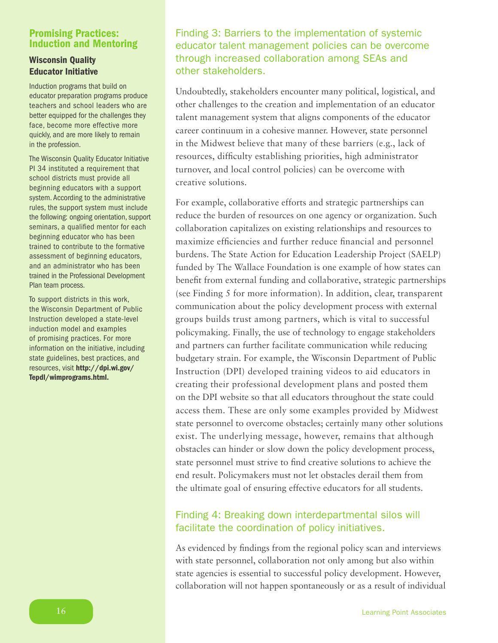### Promising Practices: Induction and Mentoring

### Wisconsin Quality Educator Initiative

Induction programs that build on educator preparation programs produce teachers and school leaders who are better equipped for the challenges they face, become more effective more quickly, and are more likely to remain in the profession.

The Wisconsin Quality Educator Initiative PI 34 instituted a requirement that school districts must provide all beginning educators with a support system. According to the administrative rules, the support system must include the following: ongoing orientation, support seminars, a qualified mentor for each beginning educator who has been trained to contribute to the formative assessment of beginning educators, and an administrator who has been trained in the Professional Development Plan team process.

To support districts in this work, the Wisconsin Department of Public Instruction developed a state-level induction model and examples of promising practices. For more information on the initiative, including state guidelines, best practices, and resources, visit [http://dpi.wi.gov/](http://dpi.wi.gov/Tepdl/wimprograms.html) [Tepdl/wimprograms.html.](http://dpi.wi.gov/Tepdl/wimprograms.html)

Finding 3: Barriers to the implementation of systemic educator talent management policies can be overcome through increased collaboration among SEAs and other stakeholders.

Undoubtedly, stakeholders encounter many political, logistical, and other challenges to the creation and implementation of an educator talent management system that aligns components of the educator career continuum in a cohesive manner. However, state personnel in the Midwest believe that many of these barriers (e.g., lack of resources, difficulty establishing priorities, high administrator turnover, and local control policies) can be overcome with creative solutions.

For example, collaborative efforts and strategic partnerships can reduce the burden of resources on one agency or organization. Such collaboration capitalizes on existing relationships and resources to maximize efficiencies and further reduce financial and personnel burdens. The State Action for Education Leadership Project (SAELP) funded by The Wallace Foundation is one example of how states can benefit from external funding and collaborative, strategic partnerships (see Finding 5 for more information). In addition, clear, transparent communication about the policy development process with external groups builds trust among partners, which is vital to successful policymaking. Finally, the use of technology to engage stakeholders and partners can further facilitate communication while reducing budgetary strain. For example, the Wisconsin Department of Public Instruction (DPI) developed training videos to aid educators in creating their professional development plans and posted them on the DPI website so that all educators throughout the state could access them. These are only some examples provided by Midwest state personnel to overcome obstacles; certainly many other solutions exist. The underlying message, however, remains that although obstacles can hinder or slow down the policy development process, state personnel must strive to find creative solutions to achieve the end result. Policymakers must not let obstacles derail them from the ultimate goal of ensuring effective educators for all students.

# Finding 4: Breaking down interdepartmental silos will facilitate the coordination of policy initiatives.

As evidenced by findings from the regional policy scan and interviews with state personnel, collaboration not only among but also within state agencies is essential to successful policy development. However, collaboration will not happen spontaneously or as a result of individual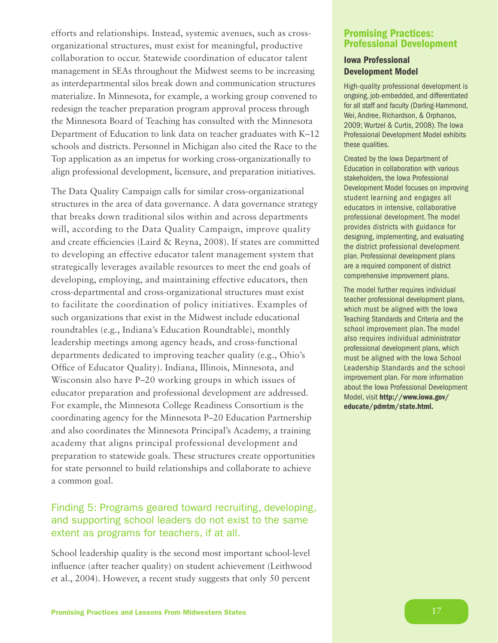efforts and relationships. Instead, systemic avenues, such as crossorganizational structures, must exist for meaningful, productive collaboration to occur. Statewide coordination of educator talent management in SEAs throughout the Midwest seems to be increasing as interdepartmental silos break down and communication structures materialize. In Minnesota, for example, a working group convened to redesign the teacher preparation program approval process through the Minnesota Board of Teaching has consulted with the Minnesota Department of Education to link data on teacher graduates with K–12 schools and districts. Personnel in Michigan also cited the Race to the Top application as an impetus for working cross-organizationally to align professional development, licensure, and preparation initiatives.

The Data Quality Campaign calls for similar cross-organizational structures in the area of data governance. A data governance strategy that breaks down traditional silos within and across departments will, according to the Data Quality Campaign, improve quality and create efficiencies (Laird & Reyna, 2008). If states are committed to developing an effective educator talent management system that strategically leverages available resources to meet the end goals of developing, employing, and maintaining effective educators, then cross-departmental and cross-organizational structures must exist to facilitate the coordination of policy initiatives. Examples of such organizations that exist in the Midwest include educational roundtables (e.g., Indiana's Education Roundtable), monthly leadership meetings among agency heads, and cross-functional departments dedicated to improving teacher quality (e.g., Ohio's Office of Educator Quality). Indiana, Illinois, Minnesota, and Wisconsin also have P–20 working groups in which issues of educator preparation and professional development are addressed. For example, the Minnesota College Readiness Consortium is the coordinating agency for the Minnesota P–20 Education Partnership and also coordinates the Minnesota Principal's Academy, a training academy that aligns principal professional development and preparation to statewide goals. These structures create opportunities for state personnel to build relationships and collaborate to achieve a common goal.

# Finding 5: Programs geared toward recruiting, developing, and supporting school leaders do not exist to the same extent as programs for teachers, if at all.

School leadership quality is the second most important school-level influence (after teacher quality) on student achievement (Leithwood et al., 2004). However, a recent study suggests that only 50 percent

### Promising Practices: Professional Development

### Iowa Professional Development Model

High-quality professional development is ongoing, job-embedded, and differentiated for all staff and faculty (Darling-Hammond, Wei, Andree, Richardson, & Orphanos, 2009; Wurtzel & Curtis, 2008). The Iowa Professional Development Model exhibits these qualities.

Created by the Iowa Department of Education in collaboration with various stakeholders, the Iowa Professional Development Model focuses on improving student learning and engages all educators in intensive, collaborative professional development. The model provides districts with guidance for designing, implementing, and evaluating the district professional development plan. Professional development plans are a required component of district comprehensive improvement plans.

The model further requires individual teacher professional development plans, which must be aligned with the Iowa Teaching Standards and Criteria and the school improvement plan. The model also requires individual administrator professional development plans, which must be aligned with the Iowa School Leadership Standards and the school improvement plan. For more information about the Iowa Professional Development Model, visit [http://www.iowa.gov/](http://www.iowa.gov/educate/pdmtm/state.html) [educate/pdmtm/state.html.](http://www.iowa.gov/educate/pdmtm/state.html)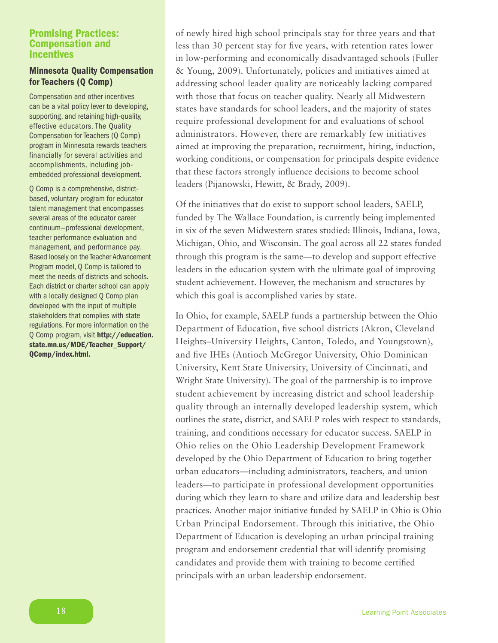### Promising Practices: Compensation and **Incentives**

### Minnesota Quality Compensation for Teachers (Q Comp)

Compensation and other incentives can be a vital policy lever to developing, supporting, and retaining high-quality, effective educators. The Quality Compensation for Teachers (Q Comp) program in Minnesota rewards teachers financially for several activities and accomplishments, including jobembedded professional development.

Q Comp is a comprehensive, districtbased, voluntary program for educator talent management that encompasses several areas of the educator career continuum—professional development, teacher performance evaluation and management, and performance pay. Based loosely on the Teacher Advancement Program model, Q Comp is tailored to meet the needs of districts and schools. Each district or charter school can apply with a locally designed Q Comp plan developed with the input of multiple stakeholders that complies with state regulations. For more information on the Q Comp program, visit [http://education.](http://education.state.mn.us/MDE/Teacher_Support/QComp/index.html) [state.mn.us/MDE/Teacher\\_Support/](http://education.state.mn.us/MDE/Teacher_Support/QComp/index.html) [QComp/index.html.](http://education.state.mn.us/MDE/Teacher_Support/QComp/index.html)

of newly hired high school principals stay for three years and that less than 30 percent stay for five years, with retention rates lower in low-performing and economically disadvantaged schools (Fuller & Young, 2009). Unfortunately, policies and initiatives aimed at addressing school leader quality are noticeably lacking compared with those that focus on teacher quality. Nearly all Midwestern states have standards for school leaders, and the majority of states require professional development for and evaluations of school administrators. However, there are remarkably few initiatives aimed at improving the preparation, recruitment, hiring, induction, working conditions, or compensation for principals despite evidence that these factors strongly influence decisions to become school leaders (Pijanowski, Hewitt, & Brady, 2009).

Of the initiatives that do exist to support school leaders, SAELP, funded by The Wallace Foundation, is currently being implemented in six of the seven Midwestern states studied: Illinois, Indiana, Iowa, Michigan, Ohio, and Wisconsin. The goal across all 22 states funded through this program is the same—to develop and support effective leaders in the education system with the ultimate goal of improving student achievement. However, the mechanism and structures by which this goal is accomplished varies by state.

In Ohio, for example, SAELP funds a partnership between the Ohio Department of Education, five school districts (Akron, Cleveland Heights–University Heights, Canton, Toledo, and Youngstown), and five IHEs (Antioch McGregor University, Ohio Dominican University, Kent State University, University of Cincinnati, and Wright State University). The goal of the partnership is to improve student achievement by increasing district and school leadership quality through an internally developed leadership system, which outlines the state, district, and SAELP roles with respect to standards, training, and conditions necessary for educator success. SAELP in Ohio relies on the Ohio Leadership Development Framework developed by the Ohio Department of Education to bring together urban educators—including administrators, teachers, and union leaders—to participate in professional development opportunities during which they learn to share and utilize data and leadership best practices. Another major initiative funded by SAELP in Ohio is Ohio Urban Principal Endorsement. Through this initiative, the Ohio Department of Education is developing an urban principal training program and endorsement credential that will identify promising candidates and provide them with training to become certified principals with an urban leadership endorsement.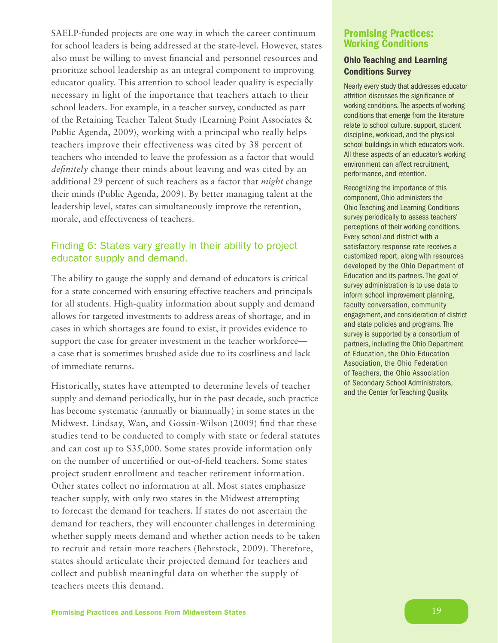SAELP-funded projects are one way in which the career continuum for school leaders is being addressed at the state-level. However, states also must be willing to invest financial and personnel resources and prioritize school leadership as an integral component to improving educator quality. This attention to school leader quality is especially necessary in light of the importance that teachers attach to their school leaders. For example, in a teacher survey, conducted as part of the Retaining Teacher Talent Study (Learning Point Associates & Public Agenda, 2009), working with a principal who really helps teachers improve their effectiveness was cited by 38 percent of teachers who intended to leave the profession as a factor that would *definitely* change their minds about leaving and was cited by an additional 29 percent of such teachers as a factor that *might* change their minds (Public Agenda, 2009). By better managing talent at the leadership level, states can simultaneously improve the retention, morale, and effectiveness of teachers.

# Finding 6: States vary greatly in their ability to project educator supply and demand.

The ability to gauge the supply and demand of educators is critical for a state concerned with ensuring effective teachers and principals for all students. High-quality information about supply and demand allows for targeted investments to address areas of shortage, and in cases in which shortages are found to exist, it provides evidence to support the case for greater investment in the teacher workforce a case that is sometimes brushed aside due to its costliness and lack of immediate returns.

Historically, states have attempted to determine levels of teacher supply and demand periodically, but in the past decade, such practice has become systematic (annually or biannually) in some states in the Midwest. Lindsay, Wan, and Gossin-Wilson (2009) find that these studies tend to be conducted to comply with state or federal statutes and can cost up to \$35,000. Some states provide information only on the number of uncertified or out-of-field teachers. Some states project student enrollment and teacher retirement information. Other states collect no information at all. Most states emphasize teacher supply, with only two states in the Midwest attempting to forecast the demand for teachers. If states do not ascertain the demand for teachers, they will encounter challenges in determining whether supply meets demand and whether action needs to be taken to recruit and retain more teachers (Behrstock, 2009). Therefore, states should articulate their projected demand for teachers and collect and publish meaningful data on whether the supply of teachers meets this demand.

### Promising Practices: Working Conditions

### Ohio Teaching and Learning Conditions Survey

Nearly every study that addresses educator attrition discusses the significance of working conditions. The aspects of working conditions that emerge from the literature relate to school culture, support, student discipline, workload, and the physical school buildings in which educators work. All these aspects of an educator's working environment can affect recruitment, performance, and retention.

Recognizing the importance of this component, Ohio administers the Ohio Teaching and Learning Conditions survey periodically to assess teachers' perceptions of their working conditions. Every school and district with a satisfactory response rate receives a customized report, along with resources developed by the Ohio Department of Education and its partners. The goal of survey administration is to use data to inform school improvement planning, faculty conversation, community engagement, and consideration of district and state policies and programs. The survey is supported by a consortium of partners, including the Ohio Department of Education, the Ohio Education Association, the Ohio Federation of Teachers, the Ohio Association of Secondary School Administrators, and the Center for Teaching Quality.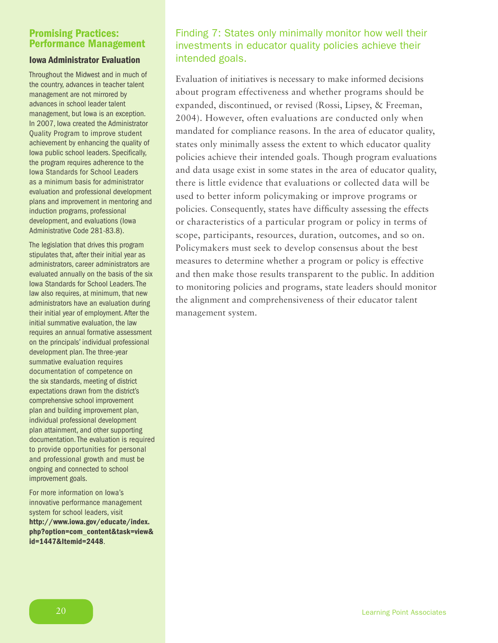### Promising Practices: Performance Management

### Iowa Administrator Evaluation

Throughout the Midwest and in much of the country, advances in teacher talent management are not mirrored by advances in school leader talent management, but Iowa is an exception. In 2007, Iowa created the Administrator Quality Program to improve student achievement by enhancing the quality of Iowa public school leaders. Specifically, the program requires adherence to the Iowa Standards for School Leaders as a minimum basis for administrator evaluation and professional development plans and improvement in mentoring and induction programs, professional development, and evaluations (Iowa Administrative Code 281-83.8).

The legislation that drives this program stipulates that, after their initial year as administrators, career administrators are evaluated annually on the basis of the six Iowa Standards for School Leaders. The law also requires, at minimum, that new administrators have an evaluation during their initial year of employment. After the initial summative evaluation, the law requires an annual formative assessment on the principals' individual professional development plan. The three-year summative evaluation requires documentation of competence on the six standards, meeting of district expectations drawn from the district's comprehensive school improvement plan and building improvement plan, individual professional development plan attainment, and other supporting documentation. The evaluation is required to provide opportunities for personal and professional growth and must be ongoing and connected to school improvement goals.

For more information on Iowa's innovative performance management system for school leaders, visit [http://www.iowa.gov/educate/index.](http://www.iowa.gov/educate/index.php?option=com_content&task=view&id=1447&Itemid=2448) php?option=com\_content&task=view& [id=1447&Itemid=2448](http://www.iowa.gov/educate/index.php?option=com_content&task=view&id=1447&Itemid=2448).

# Finding 7: States only minimally monitor how well their investments in educator quality policies achieve their intended goals.

Evaluation of initiatives is necessary to make informed decisions about program effectiveness and whether programs should be expanded, discontinued, or revised (Rossi, Lipsey, & Freeman, 2004). However, often evaluations are conducted only when mandated for compliance reasons. In the area of educator quality, states only minimally assess the extent to which educator quality policies achieve their intended goals. Though program evaluations and data usage exist in some states in the area of educator quality, there is little evidence that evaluations or collected data will be used to better inform policymaking or improve programs or policies. Consequently, states have difficulty assessing the effects or characteristics of a particular program or policy in terms of scope, participants, resources, duration, outcomes, and so on. Policymakers must seek to develop consensus about the best measures to determine whether a program or policy is effective and then make those results transparent to the public. In addition to monitoring policies and programs, state leaders should monitor the alignment and comprehensiveness of their educator talent management system.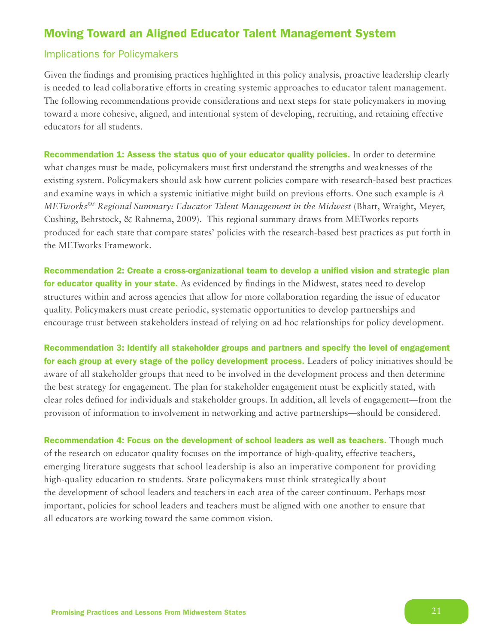# Moving Toward an Aligned Educator Talent Management System

### Implications for Policymakers

Given the findings and promising practices highlighted in this policy analysis, proactive leadership clearly is needed to lead collaborative efforts in creating systemic approaches to educator talent management. The following recommendations provide considerations and next steps for state policymakers in moving toward a more cohesive, aligned, and intentional system of developing, recruiting, and retaining effective educators for all students.

Recommendation 1: Assess the status quo of your educator quality policies. In order to determine what changes must be made, policymakers must first understand the strengths and weaknesses of the existing system. Policymakers should ask how current policies compare with research-based best practices and examine ways in which a systemic initiative might build on previous efforts. One such example is *A METworksSM Regional Summary: Educator Talent Management in the Midwest* (Bhatt, Wraight, Meyer, Cushing, Behrstock, & Rahnema, 2009). This regional summary draws from METworks reports produced for each state that compare states' policies with the research-based best practices as put forth in the METworks Framework.

Recommendation 2: Create a cross-organizational team to develop a unified vision and strategic plan for educator quality in your state. As evidenced by findings in the Midwest, states need to develop structures within and across agencies that allow for more collaboration regarding the issue of educator quality. Policymakers must create periodic, systematic opportunities to develop partnerships and encourage trust between stakeholders instead of relying on ad hoc relationships for policy development.

Recommendation 3: Identify all stakeholder groups and partners and specify the level of engagement for each group at every stage of the policy development process. Leaders of policy initiatives should be aware of all stakeholder groups that need to be involved in the development process and then determine the best strategy for engagement. The plan for stakeholder engagement must be explicitly stated, with clear roles defined for individuals and stakeholder groups. In addition, all levels of engagement—from the provision of information to involvement in networking and active partnerships—should be considered.

Recommendation 4: Focus on the development of school leaders as well as teachers. Though much of the research on educator quality focuses on the importance of high-quality, effective teachers, emerging literature suggests that school leadership is also an imperative component for providing high-quality education to students. State policymakers must think strategically about the development of school leaders and teachers in each area of the career continuum. Perhaps most important, policies for school leaders and teachers must be aligned with one another to ensure that all educators are working toward the same common vision.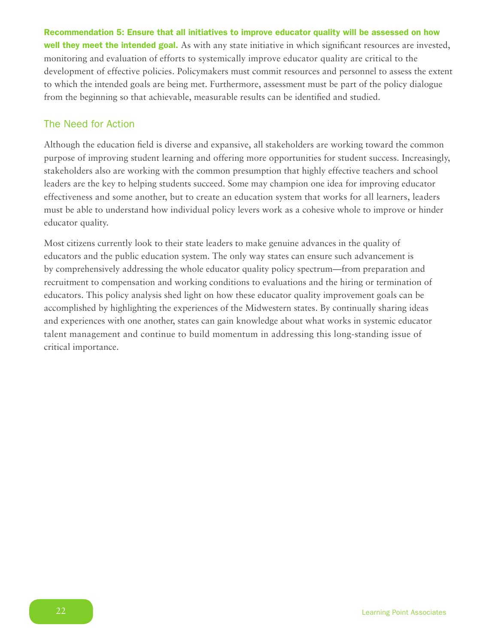Recommendation 5: Ensure that all initiatives to improve educator quality will be assessed on how well they meet the intended goal. As with any state initiative in which significant resources are invested, monitoring and evaluation of efforts to systemically improve educator quality are critical to the development of effective policies. Policymakers must commit resources and personnel to assess the extent to which the intended goals are being met. Furthermore, assessment must be part of the policy dialogue from the beginning so that achievable, measurable results can be identified and studied.

### The Need for Action

Although the education field is diverse and expansive, all stakeholders are working toward the common purpose of improving student learning and offering more opportunities for student success. Increasingly, stakeholders also are working with the common presumption that highly effective teachers and school leaders are the key to helping students succeed. Some may champion one idea for improving educator effectiveness and some another, but to create an education system that works for all learners, leaders must be able to understand how individual policy levers work as a cohesive whole to improve or hinder educator quality.

Most citizens currently look to their state leaders to make genuine advances in the quality of educators and the public education system. The only way states can ensure such advancement is by comprehensively addressing the whole educator quality policy spectrum—from preparation and recruitment to compensation and working conditions to evaluations and the hiring or termination of educators. This policy analysis shed light on how these educator quality improvement goals can be accomplished by highlighting the experiences of the Midwestern states. By continually sharing ideas and experiences with one another, states can gain knowledge about what works in systemic educator talent management and continue to build momentum in addressing this long-standing issue of critical importance.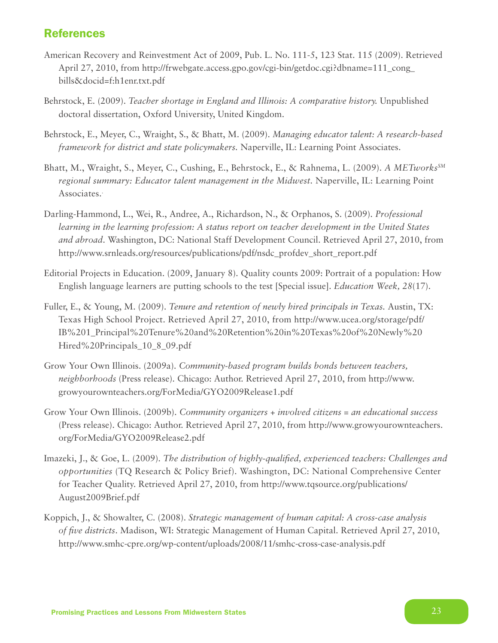# **References**

- American Recovery and Reinvestment Act of 2009, Pub. L. No. 111-5, 123 Stat. 115 (2009). Retrieved April 27, 2010, from http://frwebgate.access.gpo.gov/cgi-bin/getdoc.cgi?dbname=111\_cong\_ bills&docid=f:h1enr.txt.pdf
- Behrstock, E. (2009). *Teacher shortage in England and Illinois: A comparative history.* Unpublished doctoral dissertation, Oxford University, United Kingdom.
- Behrstock, E., Meyer, C., Wraight, S., & Bhatt, M. (2009). *Managing educator talent: A research-based framework for district and state policymakers.* Naperville, IL: Learning Point Associates.
- Bhatt, M., Wraight, S., Meyer, C., Cushing, E., Behrstock, E., & Rahnema, L. (2009). *A METworks<sup>SM</sup> regional summary: Educator talent management in the Midwest.* Naperville, IL: Learning Point Associates. .
- Darling-Hammond, L., Wei, R., Andree, A., Richardson, N., & Orphanos, S. (2009). *Professional learning in the learning profession: A status report on teacher development in the United States and abroad*. Washington, DC: National Staff Development Council. Retrieved April 27, 2010, from http://www.srnleads.org/resources/publications/pdf/nsdc\_profdev\_short\_report.pdf
- Editorial Projects in Education. (2009, January 8). Quality counts 2009: Portrait of a population: How English language learners are putting schools to the test [Special issue]. *Education Week, 28*(17).
- Fuller, E., & Young, M. (2009). *Tenure and retention of newly hired principals in Texas.* Austin, TX: Texas High School Project. Retrieved April 27, 2010, from http://www.ucea.org/storage/pdf/ IB%201\_Principal%20Tenure%20and%20Retention%20in%20Texas%20of%20Newly%20 Hired%20Principals\_10\_8\_09.pdf
- Grow Your Own Illinois. (2009a). *Community-based program builds bonds between teachers, neighborhoods* (Press release). Chicago: Author. Retrieved April 27, 2010, from http://www. growyourownteachers.org/ForMedia/GYO2009Release1.pdf
- Grow Your Own Illinois. (2009b). *Community organizers + involved citizens = an educational success* (Press release). Chicago: Author. Retrieved April 27, 2010, from http://www.growyourownteachers. org/ForMedia/GYO2009Release2.pdf
- Imazeki, J., & Goe, L. (2009). *The distribution of highly-qualified, experienced teachers: Challenges and opportunities* (TQ Research & Policy Brief). Washington, DC: National Comprehensive Center for Teacher Quality. Retrieved April 27, 2010, from http://www.tqsource.org/publications/ August2009Brief.pdf
- Koppich, J., & Showalter, C. (2008). *Strategic management of human capital: A cross-case analysis of five districts*. Madison, WI: Strategic Management of Human Capital. Retrieved April 27, 2010, <http://www.smhc-cpre.org/wp-content/uploads/2008/11/smhc-cross-case-analysis.pdf>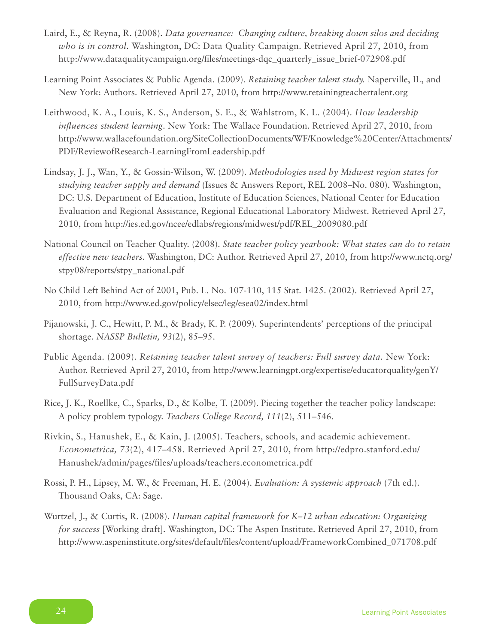- Laird, E., & Reyna, R. (2008). *Data governance: Changing culture, breaking down silos and deciding who is in control.* Washington, DC: Data Quality Campaign. Retrieved April 27, 2010, from http://www.dataqualitycampaign.org/files/meetings-dqc\_quarterly\_issue\_brief-072908.pdf
- Learning Point Associates & Public Agenda. (2009). *Retaining teacher talent study.* Naperville, IL, and New York: Authors. Retrieved April 27, 2010, from http://www.retainingteachertalent.org
- Leithwood, K. A., Louis, K. S., Anderson, S. E., & Wahlstrom, K. L. (2004). *How leadership influences student learning*. New York: The Wallace Foundation. Retrieved April 27, 2010, from http://www.wallacefoundation.org/SiteCollectionDocuments/WF/Knowledge%20Center/Attachments/ PDF/ReviewofResearch-LearningFromLeadership.pdf
- Lindsay, J. J., Wan, Y., & Gossin-Wilson, W. (2009). *Methodologies used by Midwest region states for studying teacher supply and demand* (Issues & Answers Report, REL 2008–No. 080). Washington, DC: U.S. Department of Education, Institute of Education Sciences, National Center for Education Evaluation and Regional Assistance, Regional Educational Laboratory Midwest. Retrieved April 27, 2010, from http://ies.ed.gov/ncee/edlabs/regions/midwest/pdf/REL\_2009080.pdf
- National Council on Teacher Quality. (2008). *State teacher policy yearbook: What states can do to retain effective new teachers*. Washington, DC: Author. Retrieved April 27, 2010, from http://www.nctq.org/ stpy08/reports/stpy\_national.pdf
- No Child Left Behind Act of 2001, Pub. L. No. 107-110, 115 Stat. 1425. (2002). Retrieved April 27, 2010, from http://www.ed.gov/policy/elsec/leg/esea02/index.html
- Pijanowski, J. C., Hewitt, P. M., & Brady, K. P. (2009). Superintendents' perceptions of the principal shortage. *NASSP Bulletin, 93*(2), 85–95.
- Public Agenda. (2009). *Retaining teacher talent survey of teachers: Full survey data.* New York: Author. Retrieved April 27, 2010, from http://www.learningpt.org/expertise/educatorquality/genY/ FullSurveyData.pdf
- Rice, J. K., Roellke, C., Sparks, D., & Kolbe, T. (2009). Piecing together the teacher policy landscape: A policy problem typology. *Teachers College Record, 111*(2), 511–546.
- Rivkin, S., Hanushek, E., & Kain, J. (2005). Teachers, schools, and academic achievement. *Econometrica, 73*(2), 417–458. Retrieved April 27, 2010, from http://edpro.stanford.edu/ Hanushek/admin/pages/files/uploads/teachers.econometrica.pdf
- Rossi, P. H., Lipsey, M. W., & Freeman, H. E. (2004). *Evaluation: A systemic approach* (7th ed.). Thousand Oaks, CA: Sage.
- Wurtzel, J., & Curtis, R. (2008). *Human capital framework for K–12 urban education: Organizing for success* [Working draft]. Washington, DC: The Aspen Institute. Retrieved April 27, 2010, from http://www.aspeninstitute.org/sites/default/files/content/upload/FrameworkCombined\_071708.pdf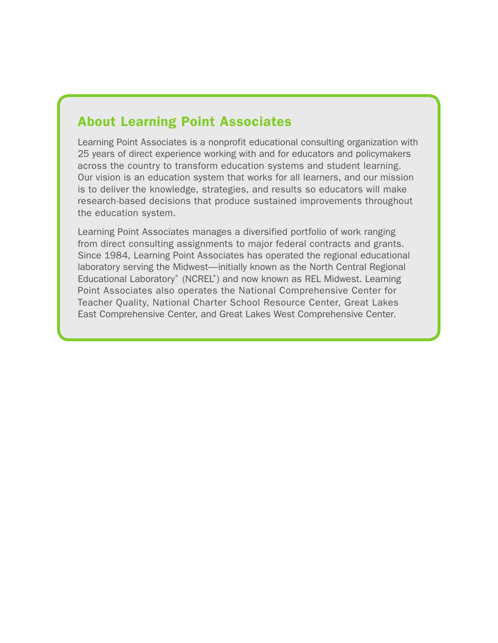# About Learning Point Associates

Learning Point Associates is a nonprofit educational consulting organization with 25 years of direct experience working with and for educators and policymakers across the country to transform education systems and student learning. Our vision is an education system that works for all learners, and our mission is to deliver the knowledge, strategies, and results so educators will make research-based decisions that produce sustained improvements throughout the education system.

Learning Point Associates manages a diversified portfolio of work ranging from direct consulting assignments to major federal contracts and grants. Since 1984, Learning Point Associates has operated the regional educational laboratory serving the Midwest—initially known as the North Central Regional Educational Laboratory® (NCREL®) and now known as REL Midwest. Learning Point Associates also operates the National Comprehensive Center for Teacher Quality, National Charter School Resource Center, Great Lakes East Comprehensive Center, and Great Lakes West Comprehensive Center.